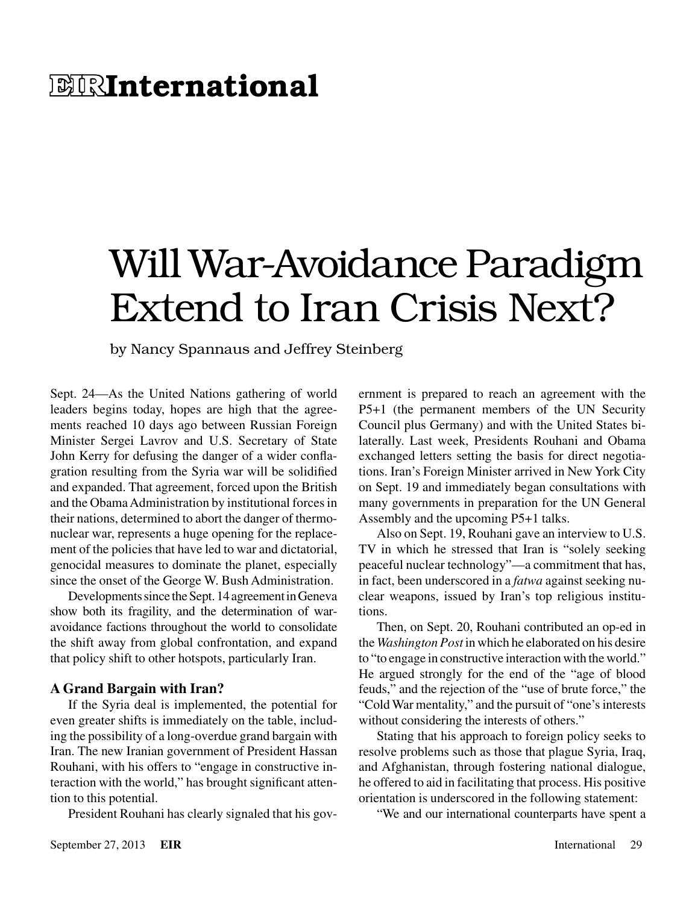## **E RInternational**

# Will War-Avoidance Paradigm Extend to Iran Crisis Next?

by Nancy Spannaus and Jeffrey Steinberg

Sept. 24—As the United Nations gathering of world leaders begins today, hopes are high that the agreements reached 10 days ago between Russian Foreign Minister Sergei Lavrov and U.S. Secretary of State John Kerry for defusing the danger of a wider conflagration resulting from the Syria war will be solidified and expanded. That agreement, forced upon the British and the Obama Administration by institutional forces in their nations, determined to abort the danger of thermonuclear war, represents a huge opening for the replacement of the policies that have led to war and dictatorial, genocidal measures to dominate the planet, especially since the onset of the George W. Bush Administration.

Developments since the Sept. 14 agreement in Geneva show both its fragility, and the determination of waravoidance factions throughout the world to consolidate the shift away from global confrontation, and expand that policy shift to other hotspots, particularly Iran.

#### **A Grand Bargain with Iran?**

If the Syria deal is implemented, the potential for even greater shifts is immediately on the table, including the possibility of a long-overdue grand bargain with Iran. The new Iranian government of President Hassan Rouhani, with his offers to "engage in constructive interaction with the world," has brought significant attention to this potential.

President Rouhani has clearly signaled that his gov-

ernment is prepared to reach an agreement with the P5+1 (the permanent members of the UN Security Council plus Germany) and with the United States bilaterally. Last week, Presidents Rouhani and Obama exchanged letters setting the basis for direct negotiations. Iran's Foreign Minister arrived in New York City on Sept. 19 and immediately began consultations with many governments in preparation for the UN General Assembly and the upcoming P5+1 talks.

Also on Sept. 19, Rouhani gave an interview to U.S. TV in which he stressed that Iran is "solely seeking peaceful nuclear technology"—a commitment that has, in fact, been underscored in a *fatwa* against seeking nuclear weapons, issued by Iran's top religious institutions.

Then, on Sept. 20, Rouhani contributed an op-ed in the *Washington Post* in which he elaborated on his desire to "to engage in constructive interaction with the world." He argued strongly for the end of the "age of blood feuds," and the rejection of the "use of brute force," the "Cold War mentality," and the pursuit of "one's interests without considering the interests of others."

Stating that his approach to foreign policy seeks to resolve problems such as those that plague Syria, Iraq, and Afghanistan, through fostering national dialogue, he offered to aid in facilitating that process. His positive orientation is underscored in the following statement:

"We and our international counterparts have spent a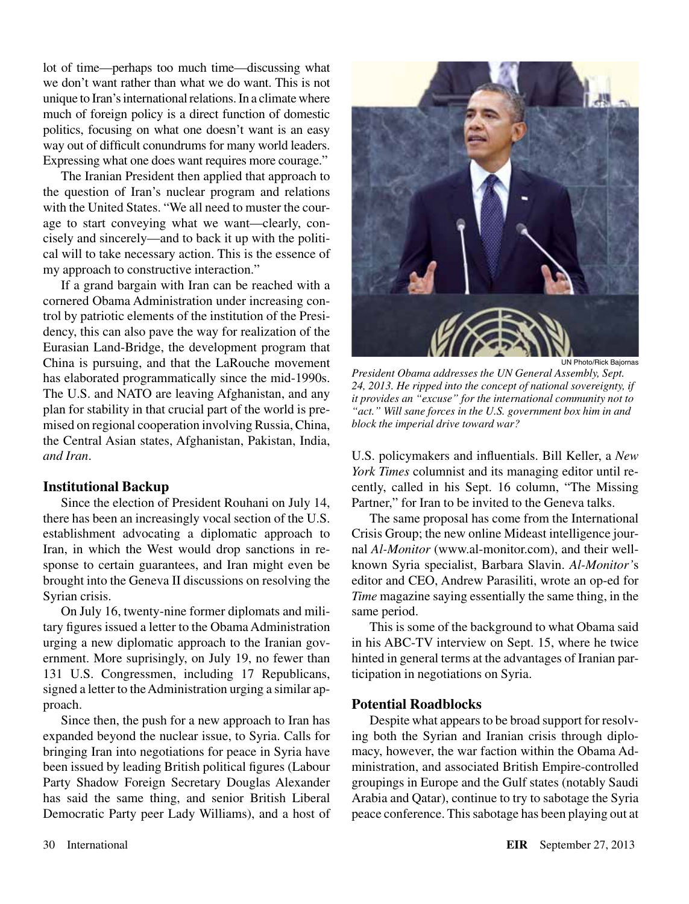lot of time—perhaps too much time—discussing what we don't want rather than what we do want. This is not unique to Iran's international relations. In a climate where much of foreign policy is a direct function of domestic politics, focusing on what one doesn't want is an easy way out of difficult conundrums for many world leaders. Expressing what one does want requires more courage."

The Iranian President then applied that approach to the question of Iran's nuclear program and relations with the United States. "We all need to muster the courage to start conveying what we want—clearly, concisely and sincerely—and to back it up with the political will to take necessary action. This is the essence of my approach to constructive interaction."

If a grand bargain with Iran can be reached with a cornered Obama Administration under increasing control by patriotic elements of the institution of the Presidency, this can also pave the way for realization of the Eurasian Land-Bridge, the development program that China is pursuing, and that the LaRouche movement has elaborated programmatically since the mid-1990s. The U.S. and NATO are leaving Afghanistan, and any plan for stability in that crucial part of the world is premised on regional cooperation involving Russia, China, the Central Asian states, Afghanistan, Pakistan, India, *and Iran*.

#### **Institutional Backup**

Since the election of President Rouhani on July 14, there has been an increasingly vocal section of the U.S. establishment advocating a diplomatic approach to Iran, in which the West would drop sanctions in response to certain guarantees, and Iran might even be brought into the Geneva II discussions on resolving the Syrian crisis.

On July 16, twenty-nine former diplomats and military figures issued a letter to the Obama Administration urging a new diplomatic approach to the Iranian government. More suprisingly, on July 19, no fewer than 131 U.S. Congressmen, including 17 Republicans, signed a letter to the Administration urging a similar approach.

Since then, the push for a new approach to Iran has expanded beyond the nuclear issue, to Syria. Calls for bringing Iran into negotiations for peace in Syria have been issued by leading British political figures (Labour Party Shadow Foreign Secretary Douglas Alexander has said the same thing, and senior British Liberal Democratic Party peer Lady Williams), and a host of



UN Photo/Rick Bajornas

*President Obama addresses the UN General Assembly, Sept. 24, 2013. He ripped into the concept of national sovereignty, if it provides an "excuse" for the international community not to "act." Will sane forces in the U.S. government box him in and block the imperial drive toward war?*

U.S. policymakers and influentials. Bill Keller, a *New York Times* columnist and its managing editor until recently, called in his Sept. 16 column, "The Missing Partner," for Iran to be invited to the Geneva talks.

The same proposal has come from the International Crisis Group; the new online Mideast intelligence journal *Al-Monitor* (www.al-monitor.com), and their wellknown Syria specialist, Barbara Slavin. *Al-Monitor'*s editor and CEO, Andrew Parasiliti, wrote an op-ed for *Time* magazine saying essentially the same thing, in the same period.

This is some of the background to what Obama said in his ABC-TV interview on Sept. 15, where he twice hinted in general terms at the advantages of Iranian participation in negotiations on Syria.

#### **Potential Roadblocks**

Despite what appears to be broad support for resolving both the Syrian and Iranian crisis through diplomacy, however, the war faction within the Obama Administration, and associated British Empire-controlled groupings in Europe and the Gulf states (notably Saudi Arabia and Qatar), continue to try to sabotage the Syria peace conference. This sabotage has been playing out at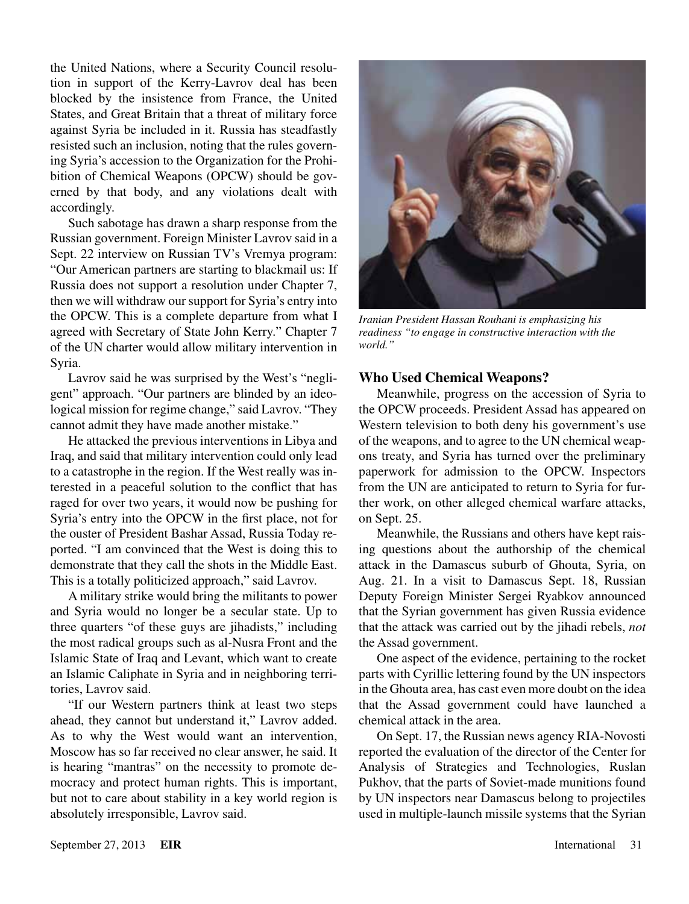the United Nations, where a Security Council resolution in support of the Kerry-Lavrov deal has been blocked by the insistence from France, the United States, and Great Britain that a threat of military force against Syria be included in it. Russia has steadfastly resisted such an inclusion, noting that the rules governing Syria's accession to the Organization for the Prohibition of Chemical Weapons (OPCW) should be governed by that body, and any violations dealt with accordingly.

Such sabotage has drawn a sharp response from the Russian government. Foreign Minister Lavrov said in a Sept. 22 interview on Russian TV's Vremya program: "Our American partners are starting to blackmail us: If Russia does not support a resolution under Chapter 7, then we will withdraw our support for Syria's entry into the OPCW. This is a complete departure from what I agreed with Secretary of State John Kerry." Chapter 7 of the UN charter would allow military intervention in Syria.

Lavrov said he was surprised by the West's "negligent" approach. "Our partners are blinded by an ideological mission for regime change," said Lavrov. "They cannot admit they have made another mistake."

He attacked the previous interventions in Libya and Iraq, and said that military intervention could only lead to a catastrophe in the region. If the West really was interested in a peaceful solution to the conflict that has raged for over two years, it would now be pushing for Syria's entry into the OPCW in the first place, not for the ouster of President Bashar Assad, Russia Today reported. "I am convinced that the West is doing this to demonstrate that they call the shots in the Middle East. This is a totally politicized approach," said Lavrov.

A military strike would bring the militants to power and Syria would no longer be a secular state. Up to three quarters "of these guys are jihadists," including the most radical groups such as al-Nusra Front and the Islamic State of Iraq and Levant, which want to create an Islamic Caliphate in Syria and in neighboring territories, Lavrov said.

"If our Western partners think at least two steps ahead, they cannot but understand it," Lavrov added. As to why the West would want an intervention, Moscow has so far received no clear answer, he said. It is hearing "mantras" on the necessity to promote democracy and protect human rights. This is important, but not to care about stability in a key world region is absolutely irresponsible, Lavrov said.



*Iranian President Hassan Rouhani is emphasizing his readiness "to engage in constructive interaction with the world."*

#### **Who Used Chemical Weapons?**

Meanwhile, progress on the accession of Syria to the OPCW proceeds. President Assad has appeared on Western television to both deny his government's use of the weapons, and to agree to the UN chemical weapons treaty, and Syria has turned over the preliminary paperwork for admission to the OPCW. Inspectors from the UN are anticipated to return to Syria for further work, on other alleged chemical warfare attacks, on Sept. 25.

Meanwhile, the Russians and others have kept raising questions about the authorship of the chemical attack in the Damascus suburb of Ghouta, Syria, on Aug. 21. In a visit to Damascus Sept. 18, Russian Deputy Foreign Minister Sergei Ryabkov announced that the Syrian government has given Russia evidence that the attack was carried out by the jihadi rebels, *not* the Assad government.

One aspect of the evidence, pertaining to the rocket parts with Cyrillic lettering found by the UN inspectors in the Ghouta area, has cast even more doubt on the idea that the Assad government could have launched a chemical attack in the area.

On Sept. 17, the Russian news agency RIA-Novosti reported the evaluation of the director of the Center for Analysis of Strategies and Technologies, Ruslan Pukhov, that the parts of Soviet-made munitions found by UN inspectors near Damascus belong to projectiles used in multiple-launch missile systems that the Syrian